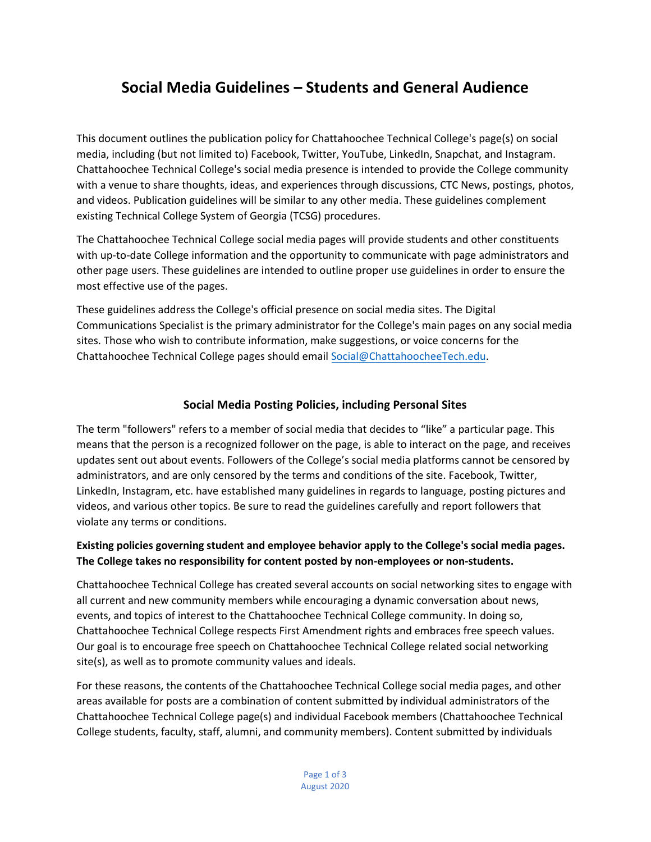# **Social Media Guidelines – Students and General Audience**

This document outlines the publication policy for Chattahoochee Technical College's page(s) on social media, including (but not limited to) Facebook, Twitter, YouTube, LinkedIn, Snapchat, and Instagram. Chattahoochee Technical College's social media presence is intended to provide the College community with a venue to share thoughts, ideas, and experiences through discussions, CTC News, postings, photos, and videos. Publication guidelines will be similar to any other media. These guidelines complement existing Technical College System of Georgia (TCSG) procedures.

The Chattahoochee Technical College social media pages will provide students and other constituents with up-to-date College information and the opportunity to communicate with page administrators and other page users. These guidelines are intended to outline proper use guidelines in order to ensure the most effective use of the pages.

These guidelines address the College's official presence on social media sites. The Digital Communications Specialist is the primary administrator for the College's main pages on any social media sites. Those who wish to contribute information, make suggestions, or voice concerns for the Chattahoochee Technical College pages should email Social@C[hattahoochee](mailto:social@chattahoocheetech.edu)Tech.edu.

## **Social Media Posting Policies, including Personal Sites**

The term "followers" refers to a member of social media that decides to "like" a particular page. This means that the person is a recognized follower on the page, is able to interact on the page, and receives updates sent out about events. Followers of the College's social media platforms cannot be censored by administrators, and are only censored by the terms and conditions of the site. Facebook, Twitter, LinkedIn, Instagram, etc. have established many guidelines in regards to language, posting pictures and videos, and various other topics. Be sure to read the guidelines carefully and report followers that violate any terms or conditions.

## **Existing policies governing student and employee behavior apply to the College's social media pages. The College takes no responsibility for content posted by non-employees or non-students.**

Chattahoochee Technical College has created several accounts on social networking sites to engage with all current and new community members while encouraging a dynamic conversation about news, events, and topics of interest to the Chattahoochee Technical College community. In doing so, Chattahoochee Technical College respects First Amendment rights and embraces free speech values. Our goal is to encourage free speech on Chattahoochee Technical College related social networking site(s), as well as to promote community values and ideals.

For these reasons, the contents of the Chattahoochee Technical College social media pages, and other areas available for posts are a combination of content submitted by individual administrators of the Chattahoochee Technical College page(s) and individual Facebook members (Chattahoochee Technical College students, faculty, staff, alumni, and community members). Content submitted by individuals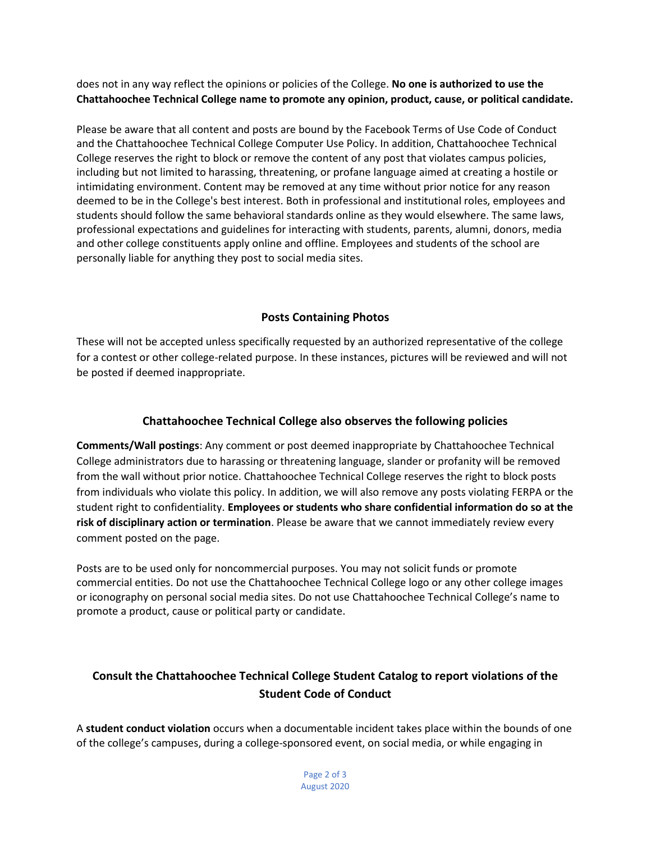does not in any way reflect the opinions or policies of the College. **No one is authorized to use the Chattahoochee Technical College name to promote any opinion, product, cause, or political candidate.**

Please be aware that all content and posts are bound by the Facebook Terms of Use Code of Conduct and the Chattahoochee Technical College Computer Use Policy. In addition, Chattahoochee Technical College reserves the right to block or remove the content of any post that violates campus policies, including but not limited to harassing, threatening, or profane language aimed at creating a hostile or intimidating environment. Content may be removed at any time without prior notice for any reason deemed to be in the College's best interest. Both in professional and institutional roles, employees and students should follow the same behavioral standards online as they would elsewhere. The same laws, professional expectations and guidelines for interacting with students, parents, alumni, donors, media and other college constituents apply online and offline. Employees and students of the school are personally liable for anything they post to social media sites.

#### **Posts Containing Photos**

These will not be accepted unless specifically requested by an authorized representative of the college for a contest or other college-related purpose. In these instances, pictures will be reviewed and will not be posted if deemed inappropriate.

# **Chattahoochee Technical College also observes the following policies**

**Comments/Wall postings**: Any comment or post deemed inappropriate by Chattahoochee Technical College administrators due to harassing or threatening language, slander or profanity will be removed from the wall without prior notice. Chattahoochee Technical College reserves the right to block posts from individuals who violate this policy. In addition, we will also remove any posts violating FERPA or the student right to confidentiality. **Employees or students who share confidential information do so at the risk of disciplinary action or termination**. Please be aware that we cannot immediately review every comment posted on the page.

Posts are to be used only for noncommercial purposes. You may not solicit funds or promote commercial entities. Do not use the Chattahoochee Technical College logo or any other college images or iconography on personal social media sites. Do not use Chattahoochee Technical College's name to promote a product, cause or political party or candidate.

# **Consult the Chattahoochee Technical College Student Catalog to report violations of the Student Code of Conduct**

A **student conduct violation** occurs when a documentable incident takes place within the bounds of one of the college's campuses, during a college-sponsored event, on social media, or while engaging in